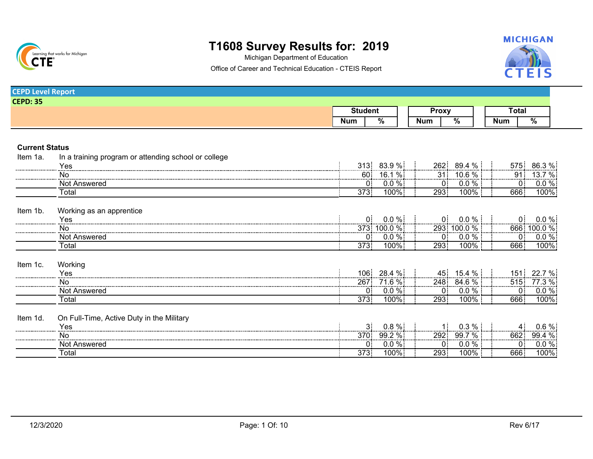

Michigan Department of Education



Office of Career and Technical Education - CTEIS Report

| <b>CEPD Level Report</b> |                                                      |                |                 |              |                                                                   |                |                          |
|--------------------------|------------------------------------------------------|----------------|-----------------|--------------|-------------------------------------------------------------------|----------------|--------------------------|
| <b>CEPD: 35</b>          |                                                      |                |                 |              |                                                                   |                |                          |
|                          |                                                      | <b>Student</b> |                 | <b>Proxy</b> |                                                                   | Total          |                          |
|                          |                                                      | <b>Num</b>     | $\frac{9}{6}$   | <b>Num</b>   | $\frac{9}{6}$                                                     | <b>Num</b>     | $\overline{\%}$          |
|                          |                                                      |                |                 |              |                                                                   |                |                          |
|                          |                                                      |                |                 |              |                                                                   |                |                          |
| <b>Current Status</b>    |                                                      |                |                 |              |                                                                   |                |                          |
| Item 1a.                 | In a training program or attending school or college |                |                 |              |                                                                   |                |                          |
|                          | Yes                                                  | 313:           | 83.9%           | 262:         | 89.4 %                                                            | 575.           | 86.3 %                   |
|                          | No                                                   | 60:            | $16.1\%$        |              |                                                                   | 91.            |                          |
|                          | <b>Not Answered</b>                                  |                | $0.0 \%$<br>0 : |              | $\begin{array}{c c} 31 & 10.6 \% \\ \hline 0 & 0.0 % \end{array}$ | 0:             | $\frac{13.7~\%}{0.0~\%}$ |
|                          | Total                                                | 373:           | 100%            | 293          | 100%                                                              | 666:           | 100%                     |
|                          |                                                      |                |                 |              |                                                                   |                |                          |
| Item 1b.                 | Working as an apprentice                             |                |                 |              |                                                                   |                |                          |
|                          | Yes                                                  |                | $0.0 \%$        | 0:           | $0.0\%$                                                           | 0:             | $0.0\%$                  |
|                          |                                                      |                | 373: 100.0 %    |              | 293 100.0 %                                                       |                | 666 100.0 %              |
|                          | Not Answered                                         |                | $0.0\%$<br>0:   | 0:           | $0.0\%$                                                           | 0 <sup>1</sup> |                          |
|                          | Total                                                | 373:           | 100%            | 293:         | 100%                                                              | 666            | 100%                     |
| Item 1c.                 |                                                      |                |                 |              |                                                                   |                |                          |
|                          | Working                                              | 106:           |                 |              |                                                                   |                |                          |
|                          | Yes                                                  |                | 28.4 %          |              | 45 15.4 %                                                         | $151$ :        | 22.7 %                   |
|                          | No.                                                  |                | 267 71.6 %      |              | 248 84.6 %                                                        |                | <u>515 77.3 % </u>       |
|                          | Not Answered                                         |                | $0.0 \%$<br>0:  | 0:           | $0.0 \%$                                                          |                | $0$ 0.0 %                |
|                          | Total                                                | 373:           | $100\%$         | 293:         | 100%                                                              | 666            | 100%                     |
| Item 1d.                 | On Full-Time, Active Duty in the Military            |                |                 |              |                                                                   |                |                          |
|                          | Yes                                                  |                | $0.8 \%$        |              | 0.3%                                                              |                | $0.6 \%$                 |
|                          | <b>No</b>                                            | 370:           | 99.2 %          | 292          | 99.7 %                                                            |                | $662$ 99.4 %             |
|                          | Not Answered                                         |                | $0.0 \%$<br>0:  | 0:           | 0.0 %                                                             | 0:             | $0.0 \%$                 |
|                          | Total                                                | 373.           | 100%            | 293          | 100%                                                              | 666            | $100\%$                  |
|                          |                                                      |                |                 |              |                                                                   |                |                          |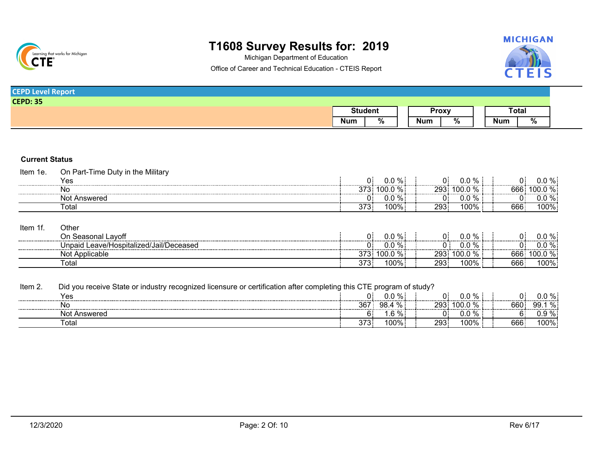

Michigan Department of Education



Office of Career and Technical Education - CTEIS Report

| <b>CEPD Level Report</b> |                |       |  |              |  |
|--------------------------|----------------|-------|--|--------------|--|
| <b>CEPD: 35</b>          |                |       |  |              |  |
|                          | <b>Student</b> | Proxy |  | <b>Total</b> |  |
|                          |                |       |  |              |  |

### **Current Status**

| Item<br>1e. | the Military ו<br>I ime<br>Part I<br>Dutv in ∪ |       |                               |     |             |         |                              |
|-------------|------------------------------------------------|-------|-------------------------------|-----|-------------|---------|------------------------------|
|             | Yes                                            | 0:    | $0.0 \%$                      |     | 0.0 %<br>Ji |         | 0.0 %<br>                    |
|             | .No                                            |       | $0.0\ \%$ :<br>$\sim$<br>vv.v | 293 | $-100$      | 666<br> | $' \cap \cap \cap \cap$<br>. |
|             | Not<br>Answered                                |       | $\sim$<br>v.v                 |     | v.v         |         | $\cap$ 0/                    |
|             | ™otal                                          | ں ، ں | : 100%                        | 293 | 100%        | 666.    | 100%                         |
|             |                                                |       |                               |     |             |         |                              |

| Item 1' | Other                                        |      |             |     |             |      |           |
|---------|----------------------------------------------|------|-------------|-----|-------------|------|-----------|
|         | On Seasonal Lavoff                           |      | ገ % :       |     | ㄱ%.         |      | %<br>0.0  |
|         | d Leave/Hospitalized/Jail/Deceased<br>Jnpaid |      | $0\%$ .<br> |     | %           |      | %:<br>υ.υ |
|         | Not Applicable                               | 373. | $100.0\%$   | 293 | $100.0\%$ . | 666: | $100.0\%$ |
|         | Total                                        | 373: | 100%.       | 293 | 100%        | 666: | 100%      |

Item 2. Did you receive State or industry recognized licensure or certification after completing this CTE program of study?

| ∨ឹ<br>- 63            |                 | $\cap$ 0/<br>70<br>J.L    |     |                    |         |                                                          |
|-----------------------|-----------------|---------------------------|-----|--------------------|---------|----------------------------------------------------------|
| <br>No                | วคว<br>ັບ       | %<br>۵R                   | 293 |                    | <br>660 | . .<br>,,,,,,,,,,,,,,,,,,,,,,,,,,,,,,,,,,,<br>99.<br>70. |
| <br>Not<br>* Answerea |                 | $\sim$ $\sim$<br>70∶<br>. |     | . L                |         | %.<br>∪.∪                                                |
| ™otai                 | $\sim$<br>ں ، ں | 1000<br>UU%               | 293 | $\sqrt{2}$<br>∣ ∪∪ | 666.    | 100%                                                     |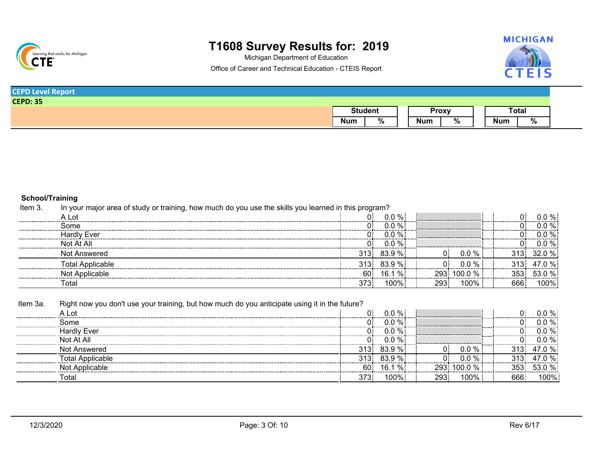

Michigan Department of Education



Office of Career and Technical Education - CTEIS Report

| <b>CEPD Level Report</b> |                |  |              |  |       |
|--------------------------|----------------|--|--------------|--|-------|
| <b>CEPD: 35</b>          |                |  |              |  |       |
|                          |                |  | <b>Proxy</b> |  | Total |
|                          | <b>Student</b> |  |              |  |       |

### **School/Training**

In your major area of study or training, how much do you use the skills you learned in this program? Item 3.

| A Lot                   |      | $0.0 \%$        |     |             | .   | በ በ % ፡ |
|-------------------------|------|-----------------|-----|-------------|-----|---------|
| Some                    |      | $\frac{9}{6}$ : |     |             | .   | ነ በ % ፧ |
| Hardly Ever             |      | %∶              |     |             |     |         |
| Not At All              |      | 0.0             |     |             |     | : % ۱   |
| Not Answered            | 313: | $83.9\%$        |     | $\%$<br>0.0 |     |         |
| <b>Total Applicable</b> |      | $313: 83.9\%$   | n:  | 0.0<br>∣% ∶ |     | ' በ % ፡ |
| Applicable              | 60:  | %:<br>16.1      | 293 | $100.0\%$   |     |         |
| Γotal                   | 373  | 100%            | 293 | $100\%$ .   | 666 | $00\%$  |

Item 3a. Right now you don't use your training, but how much do you anticipate using it in the future?

|                  |      | $\%$ :               |     |               |      | በ % ፡ |
|------------------|------|----------------------|-----|---------------|------|-------|
| Some             |      | $\frac{9}{6}$ :      |     |               |      |       |
| Hardly Ever      |      | 0.0<br>$\%$ :<br>.   |     |               |      |       |
| At Al            |      | n n<br>$\%$ :<br>◡.◡ |     |               | <br> |       |
| Not Answered     | 313: | $83.9\%$             |     |               |      |       |
| Total Applicable | .    | $\%:$                |     |               |      |       |
| Applicable       | 60   | %:                   | 293 | $0.0\%$ .<br> |      |       |
| ⊺ota             | 373. | 100%                 | 293 | 100%          | 666  | :100% |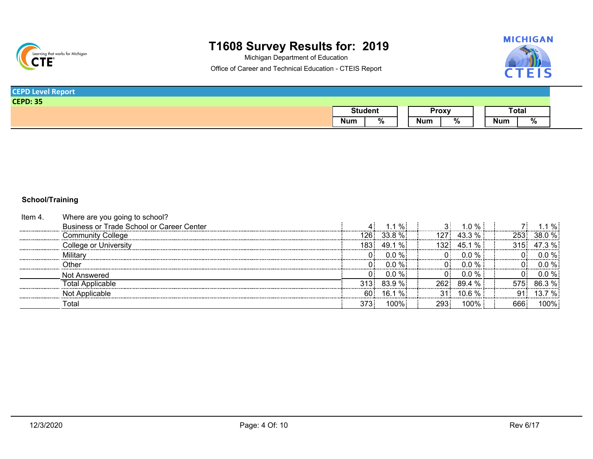

Michigan Department of Education



Office of Career and Technical Education - CTEIS Report

| <b>Level Report</b><br><b>CEPD</b> |            |                 |            |              |     |       |
|------------------------------------|------------|-----------------|------------|--------------|-----|-------|
| <b>CEPD: 35</b>                    |            |                 |            |              |     |       |
|                                    |            | <b>Student</b>  |            | <b>Proxy</b> |     | Total |
|                                    | <b>Num</b> | $\overline{\%}$ | <b>Num</b> | %            | Num | %     |

### **School/Training**

| ltem 4. | Where are you going to school?            |          |                     |       |                       |      |         |
|---------|-------------------------------------------|----------|---------------------|-------|-----------------------|------|---------|
|         | Business or Trade School or Career Center |          | $\frac{0}{0}$<br>11 |       | $1.0 \%$ :            |      | %:      |
|         | <b>Community College</b>                  | I26 I    | $33.8\%$            | 127 : | 433%                  |      | 38 0 %  |
|         | College or Universitv                     | 183.     | %፡<br>49.1          | 132.  | $\frac{1}{2}$<br>45.1 |      | $3\%$ : |
|         | Military                                  | ٦ŧ       | $0.0\%$             |       | $0.0 \%$              |      | 0.0 % ! |
|         | Other                                     | $\cap$ : | $0.0 \%$            | ∩∶    |                       |      | 0.0 % ፡ |
|         | Not Answered                              | $\cap$ : | $0.0 \%$            | nι    | $0.0\%$               |      | $0.0\%$ |
|         | <b>Fotal Applicable</b>                   | 313:     | 839%                | 262.  | 89.4%                 |      |         |
|         | Not Applicable                            | 60.      | %:<br>16.1          |       | 10.6 % i              |      |         |
|         | Total                                     | 373.     | 100%!               | 293.  | 100%                  | 666. | 100%    |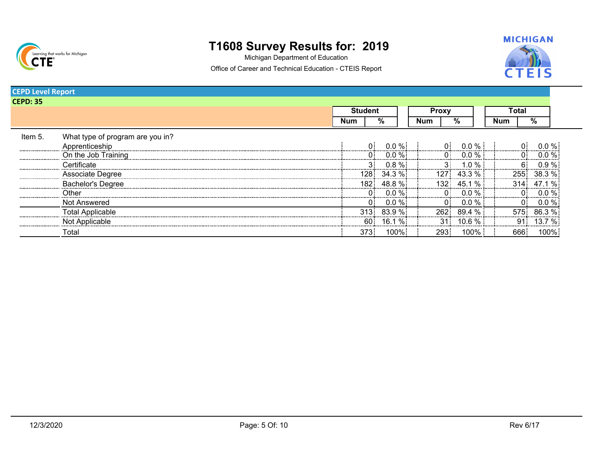

Michigan Department of Education



Office of Career and Technical Education - CTEIS Report

| <b>CEPD: 35</b> |                                  |     |                |           |            |                  |               |         |            |       |          |
|-----------------|----------------------------------|-----|----------------|-----------|------------|------------------|---------------|---------|------------|-------|----------|
|                 |                                  |     | <b>Student</b> |           |            | Proxy            |               |         |            | Total |          |
|                 |                                  | Num |                | ℅         | <b>Num</b> |                  | %             |         | <b>Num</b> |       | %        |
| Item 5.         | What type of program are you in? |     |                |           |            |                  |               |         |            |       |          |
|                 | Apprenticeship                   |     |                | $0.0 \%$  |            | 0.               | $0.0 \%$ :    |         |            | 0.    | $0.0 \%$ |
|                 | On the Job Training              |     | 0:             | $0.0 \%$  |            | $\Omega$         | $0.0\%$       |         |            | 0.    |          |
|                 | Certificate                      |     | 3:             | $0.8 \%$  |            |                  | $1.0 \%$      |         |            | 6.    | በ 9 %    |
|                 | Associate Degree                 |     | 128.           | $34.3\%$  |            |                  | $127: 43.3\%$ |         |            | 255:  | 38.3 %   |
|                 | <b>Bachelor's Degree</b>         |     | 182:           | $48.8\%$  |            | 132 <sub>1</sub> | 45.1 % !      |         |            | 314:  |          |
|                 | Other                            |     | 0:             | $0.0 \%$  |            | 0 <sup>1</sup>   | $0.0 \%$ :    |         |            | ∩∶    |          |
|                 | <b>Not Answered</b>              |     | $0$ :          | $0.0 \%$  |            | 0:               | $0.0\%$       |         |            | 0:    | 0.0%     |
|                 | <b>Total Applicable</b>          |     | 313:           | $83.9\%$  |            | 262.             | 89.4%         |         |            | 575:  | 86.3%    |
|                 | Not Applicable                   |     | 60:            | $16.1 \%$ |            | 31 <sup>1</sup>  | $10.6\%$      |         |            | 91.   | 13.7     |
|                 | Total                            |     | 373.           | $100\%$   |            | 293.             |               | $100\%$ |            | 666   | 100%     |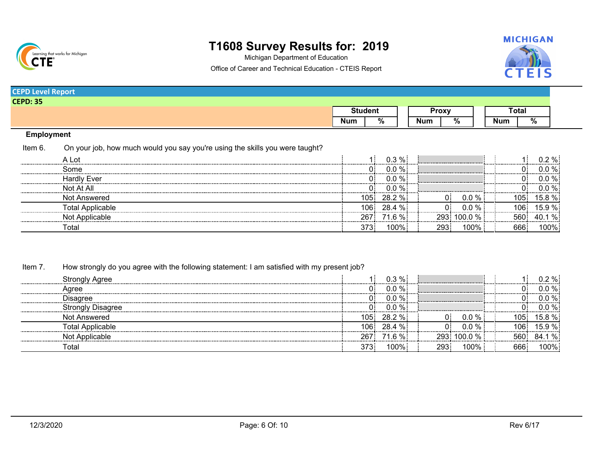

Michigan Department of Education



Office of Career and Technical Education - CTEIS Report

| <b>CEPD: 35</b><br>Total<br><b>Student</b><br><b>Proxy</b><br>$\sqrt{\frac{9}{6}}$<br>%<br><b>Num</b><br>%<br>Num<br>Num | <b>CEPD Level Report</b> |  |  |  |  |
|--------------------------------------------------------------------------------------------------------------------------|--------------------------|--|--|--|--|
|                                                                                                                          |                          |  |  |  |  |
|                                                                                                                          |                          |  |  |  |  |
|                                                                                                                          |                          |  |  |  |  |

### **Employment**

On your job, how much would you say you're using the skills you were taught? Item 6.

| A Lot                   |        | 0.3 %<br>.            |      |            |      | ₩. |
|-------------------------|--------|-----------------------|------|------------|------|----|
| Some                    |        | %:                    |      |            |      |    |
| <b>Hardly Ever</b>      |        | 0.0 % :               |      |            | .    |    |
| Not At All              |        | 0.0 % !<br>. <b>.</b> |      |            |      |    |
| Not Answered            | 105.   | $28.2\%$              |      |            | 105  |    |
| <b>Total Applicable</b> | 06<br> | 28 4<br>$\%$ :        |      |            |      |    |
| : Applicable<br>Not     |        | $.6\%$                | 293. | 100.0 $\%$ |      |    |
| otal                    |        | 100%                  | 293: | $00\%$     | 666: |    |

#### Item 7. How strongly do you agree with the following statement: I am satisfied with my present job?

| <b>Strongly Agree</b>    |     | 0.3 % !<br>.        |      |                   |           |      |
|--------------------------|-----|---------------------|------|-------------------|-----------|------|
| Agree                    |     | $^{\circ}$ % .<br>. |      |                   |           |      |
| Disagree                 |     | $\Omega$<br>        |      |                   |           |      |
| <b>Strongly Disagree</b> |     | $\%$ :              |      |                   |           |      |
| Not Answered             | 105 | $28.2 \%$           |      | $\gamma$<br>0.G   | <b>U5</b> |      |
| <b>Total Applicable</b>  | Ut  | $28.4 \%$           |      | ባ.0 % ·           | 106.      | 59%  |
| Not Applicable           | 267 | $.6\%$              |      | $^{\circ}$ 00.0 % |           |      |
| ⊺otal                    |     | 100%:               | 293: | $100\%$ .         | ooo:      | 100% |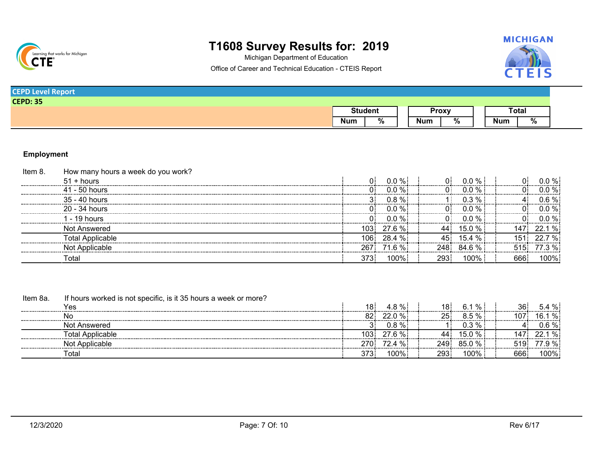

Michigan Department of Education



Office of Career and Technical Education - CTEIS Report

| <b>CEPD Level Report</b> |                |              |  |       |  |
|--------------------------|----------------|--------------|--|-------|--|
| <b>CEPD: 35</b>          |                |              |  |       |  |
|                          | <b>Student</b> | <b>Proxy</b> |  | Total |  |
|                          |                |              |  |       |  |

### **Employment**

| $0.0 \%$<br>$51 +$ hours<br>∩÷        | 0 :          | $0.0 \%$    |      | 0.0 % ፡ |
|---------------------------------------|--------------|-------------|------|---------|
| $41 - 50$ hours<br>.                  | $0.0 \%$     | በ በ % ፧     |      | 0.0 % ፡ |
| 35 - 40 hours                         | $0.8 \%$     | በ 3 % ፡     |      | 0.6 %፡  |
| 20 - 34 hours                         | $0.0\%$      |             |      | በ በ % ፡ |
| $-19$ hours<br>∩÷                     | $0.0 \%$     |             |      | በ በ %፥  |
| $27.6\%$<br>103.<br>Not Answered      | 44:          | $15.0 \%$ : |      | $221\%$ |
| $28.4 \%$<br>06 :<br>Total Applicable |              | 15.4 % i    |      |         |
| 71.6 % i<br>: Applicable              | 248:         | $84.6\%$    |      |         |
| 373.<br>Total                         | 100%<br>293. | $100\%$ :   | 666. | 100%    |

| Item 8a. | If hours worked is not specific, is it 35 hours a week or more? |      |          |      |           |     |          |
|----------|-----------------------------------------------------------------|------|----------|------|-----------|-----|----------|
|          | Yes                                                             | 18:  | $4.8\%$  | 18:  | $6.1 \%$  | 36. | $5.4 \%$ |
|          | No                                                              | 82:  | $22.0\%$ |      | $5\%$ :   |     |          |
|          | Not Answered                                                    |      | $0.8 \%$ |      |           |     | $\%$ :   |
|          | Total Applicable                                                | 103: | $27.6\%$ |      | 15.0 % i  |     |          |
|          | Not Applicable                                                  | ?70: | 72.4 %   | 249  | 85.0%     |     |          |
|          | ™ota.                                                           |      | 100%     | 293. | $100\%$ . | 666 | $100\%$  |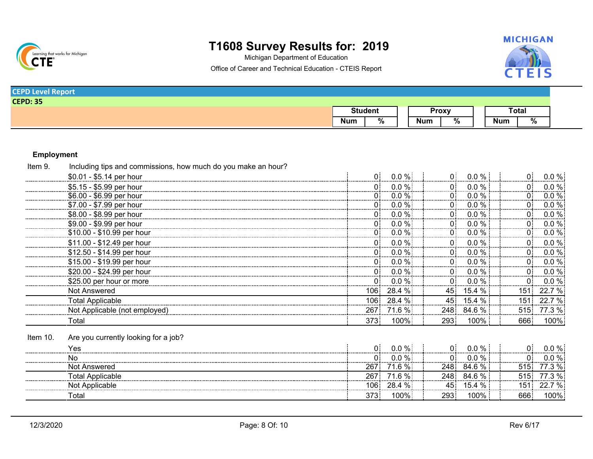

Michigan Department of Education



Office of Career and Technical Education - CTEIS Report

| <b>CEPD Level Report</b> |                |  |  |  |  |              |  |       |
|--------------------------|----------------|--|--|--|--|--------------|--|-------|
| <b>CEPD: 35</b>          |                |  |  |  |  |              |  |       |
|                          | <b>Student</b> |  |  |  |  | <b>Proxy</b> |  | Total |
|                          |                |  |  |  |  |              |  |       |

### **Employment**

| Item 9.  | Including tips and commissions, how much do you make an hour? |         |          |                   |           |      |          |
|----------|---------------------------------------------------------------|---------|----------|-------------------|-----------|------|----------|
|          | \$0.01 - \$5.14 per hour                                      |         | $0.0 \%$ | $\Omega$ :        | $0.0 \%$  |      | $0.0\%$  |
|          | \$5.15 - \$5.99 per hour                                      |         | $0.0 \%$ | $\overline{0}$    | $0.0\%$   |      | $0.0 \%$ |
|          | \$6.00 - \$6.99 per hour                                      |         | $0.0 \%$ | 0 :               | $0.0\%$   | 0.   | $0.0\%$  |
|          | \$7.00 - \$7.99 per hour                                      |         | $0.0 \%$ | 0:                | $0.0\%$   |      | $0.0 \%$ |
|          | \$8.00 - \$8.99 per hour                                      | 0:      | $0.0\%$  | 0:                | $0.0 \%$  | 0.   | $0.0 \%$ |
|          | \$9.00 - \$9.99 per hour                                      |         | $0.0\%$  | 0:                | $0.0\%$   | 0:   | $0.0 \%$ |
|          | \$10.00 - \$10.99 per hour                                    | 0:      | $0.0\%$  | 0 <sup>1</sup>    | $0.0\%$   | 0.   | $0.0 \%$ |
|          | \$11.00 - \$12.49 per hour                                    |         | $0.0\%$  | 0 <sup>1</sup>    | $0.0 \%$  |      | $0.0 \%$ |
|          | \$12.50 - \$14.99 per hour                                    | 0.      | $0.0 \%$ | 0:                | $0.0 \%$  | 0.   | $0.0 \%$ |
|          | \$15.00 - \$19.99 per hour                                    |         | $0.0\%$  | $\overline{0}$    | $0.0\%$   | 0    | $0.0 \%$ |
|          | \$20.00 - \$24.99 per hour                                    | 0:      | $0.0\%$  | 0 <sup>1</sup>    | $0.0 \%$  | 0:   | 0.0%     |
|          | \$25.00 per hour or more                                      |         | $0.0\%$  | $0^{\frac{1}{2}}$ | $0.0 \%$  | 0:   | $0.0 \%$ |
|          | Not Answered                                                  | 106:    | 28.4 %   | 45.               | 15.4 %    | 151: | 22.7 %   |
|          | Total Applicable                                              | 106     | 28.4 %   | 45.               | $15.4 \%$ | 151: | 22.7 %   |
|          | Not Applicable (not employed)                                 | 267:    | 71.6 %   | 248:              | 84.6 %    | 515: | 77.3 %   |
|          | Total                                                         | 373     | 100%     | 293:              | $100\%$   | 666  | 100%     |
| Item 10. | Are you currently looking for a job?                          |         |          |                   |           |      |          |
|          | res                                                           | 0:      | $0.0 \%$ | 0:                | $0.0\%$   |      | $0.0 \%$ |
|          |                                                               |         | $0.0\%$  | 0:                | $0.0\%$   | 0:   | $0.0 \%$ |
|          | Not Answered                                                  | 267     | 71.6 %   | 248:              | $84.6\%$  | 515. | 77.3 %   |
|          | Total Applicable                                              | 267     | $71.6\%$ | 248:              | $84.6\%$  | 515: | 77.3 %   |
|          | Not Applicable                                                | $106$ : | 28.4 %   | 45 <sup>1</sup>   | $15.4 \%$ | 151. | 22.7 %   |
|          | Total                                                         | 373     | 100%     | 293:              | $100\%$   | 666  | 100%     |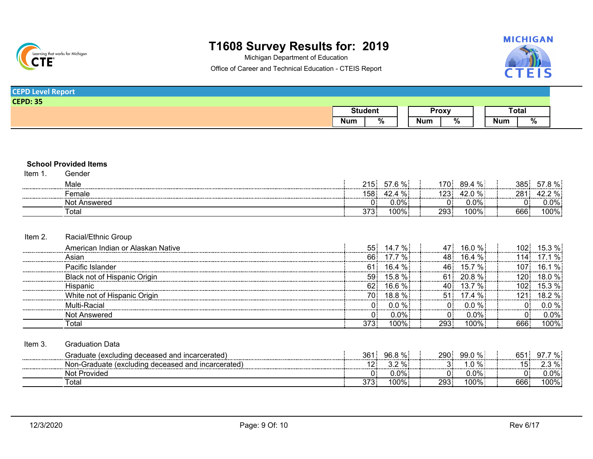

Michigan Department of Education



Office of Career and Technical Education - CTEIS Report

| <b>CEPD Level Report</b> |                               |                 |                 |
|--------------------------|-------------------------------|-----------------|-----------------|
| <b>CEPD: 35</b>          |                               |                 |                 |
|                          | <b>Student</b>                | <b>Proxy</b>    | <b>Total</b>    |
|                          | $\overline{\%}$<br><b>Num</b> | %<br><b>Num</b> | <b>Num</b><br>% |
|                          |                               |                 |                 |
|                          |                               |                 |                 |
|                          |                               |                 |                 |
| _ _ _ _ _ _              |                               |                 |                 |

**School Provided Items**

Item 1. Gender

| Male<br>       | 215.<br>      | $- - -$<br>: 70         | 170<br>$\sim$<br>%:<br>. <i>I</i> U | 385             | /ח כ<br>7٥         |
|----------------|---------------|-------------------------|-------------------------------------|-----------------|--------------------|
| emale<br>      | 58.           | ∽′∼<br>703              | מחו<br>ገ % :                        | 28 <sup>4</sup> | $^{\circ}$ % .<br> |
| Nο<br>Answered | . .           | $\sim$ $\sim$<br>U.U70: | .<br>J.U70 <b>·</b>                 | . .<br>J.       | $.0\%$             |
| ™otai          | 272.<br>ں ، ں | 100%                    | $100\%$<br>293                      | 666             | 100%.              |

### Item 2. Racial/Ethnic Group

| American Indian or Alaskan Native   | 55.  | ∵%∶<br>14 7    |     | $16.0\%$            |     | 53%     |
|-------------------------------------|------|----------------|-----|---------------------|-----|---------|
| Asian                               | 66:  | ່%:            |     | $16.4 \%$           |     |         |
| Pacific Islander                    | 61   | $\%$ :<br>16.4 |     | $\cdot$ % .<br>15.7 |     |         |
| <b>Black not of Hispanic Origin</b> | 59.  | 15.8 % !       |     | $20.8\%$            |     |         |
| Hispanic                            |      | 16.6 %፥        |     | $\cdot$ % .         |     |         |
| White not of Hispanic Origin        | 70.  | $18.8\%$       | 51  | $17.4 \%$           |     |         |
| Multi-Racial                        |      | $0.0 \%$       |     | $.0 \%$             |     |         |
| Not Answered                        |      | $0.0\%$        |     | 0.0%:               |     | 0.0%    |
| ⊺otal                               | 373: | 100%           | 293 | 100% :              | 666 | $100\%$ |

| Item 3 | Graduation Data                                    |      |                |          |          |      |                 |
|--------|----------------------------------------------------|------|----------------|----------|----------|------|-----------------|
|        | Graduate (excluding deceased and incarcerated)     | 361. | $96.8\%$<br>   | 290.     | $99.0\%$ | 651. | 7 % :<br>- Q7 : |
|        | Non-Graduate (excluding deceased and incarcerated) |      | 32%<br>◡.▵<br> | <b>.</b> | $.0 \%$  |      | $2.3 \%$        |
|        | Not Provided                                       |      | 0.0%           |          | 0.0%!    |      | J.0% ፡          |
|        | ⊺otal                                              | 373. | $100\%$ .      | 293:     | 100%.    | 666  | 100%            |